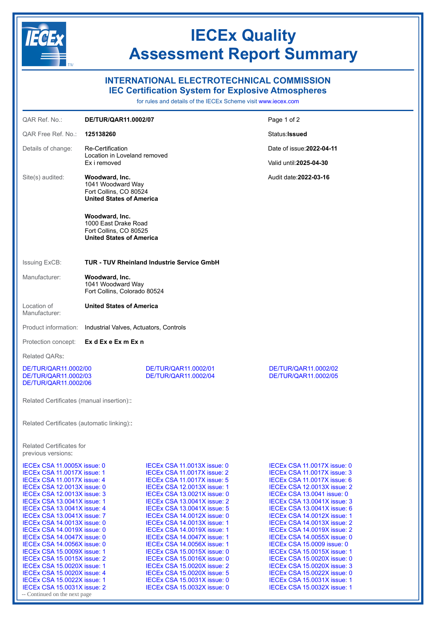

## **IECEx Quality Assessment Report Summary**

## **INTERNATIONAL ELECTROTECHNICAL COMMISSION**

**IEC Certification System for Explosive Atmospheres**

for rules and details of the IECEx Scheme visit [www.iecex.com](https://www.iecex.com)

| OAR Ref. No.:                                                                                                                                                                                                                                                                                                                                                                                                                                                                                                                                                                                               | DE/TUR/QAR11.0002/07                                                                                |                                                                                                                                                                                                                                                                                                                                                                                                                                                                                                                                                                                                        | Page 1 of 2                                                                                                                                                                                                                                                                                                                                                                                                                                                                                                                                                                                                 |
|-------------------------------------------------------------------------------------------------------------------------------------------------------------------------------------------------------------------------------------------------------------------------------------------------------------------------------------------------------------------------------------------------------------------------------------------------------------------------------------------------------------------------------------------------------------------------------------------------------------|-----------------------------------------------------------------------------------------------------|--------------------------------------------------------------------------------------------------------------------------------------------------------------------------------------------------------------------------------------------------------------------------------------------------------------------------------------------------------------------------------------------------------------------------------------------------------------------------------------------------------------------------------------------------------------------------------------------------------|-------------------------------------------------------------------------------------------------------------------------------------------------------------------------------------------------------------------------------------------------------------------------------------------------------------------------------------------------------------------------------------------------------------------------------------------------------------------------------------------------------------------------------------------------------------------------------------------------------------|
| <b>QAR Free Ref. No.:</b>                                                                                                                                                                                                                                                                                                                                                                                                                                                                                                                                                                                   | 125138260                                                                                           |                                                                                                                                                                                                                                                                                                                                                                                                                                                                                                                                                                                                        | Status: Issued                                                                                                                                                                                                                                                                                                                                                                                                                                                                                                                                                                                              |
| Details of change:                                                                                                                                                                                                                                                                                                                                                                                                                                                                                                                                                                                          | <b>Re-Certification</b><br>Location in Loveland removed<br>Ex i removed                             |                                                                                                                                                                                                                                                                                                                                                                                                                                                                                                                                                                                                        | Date of issue: 2022-04-11                                                                                                                                                                                                                                                                                                                                                                                                                                                                                                                                                                                   |
|                                                                                                                                                                                                                                                                                                                                                                                                                                                                                                                                                                                                             |                                                                                                     |                                                                                                                                                                                                                                                                                                                                                                                                                                                                                                                                                                                                        | Valid until: 2025-04-30                                                                                                                                                                                                                                                                                                                                                                                                                                                                                                                                                                                     |
| Site(s) audited:                                                                                                                                                                                                                                                                                                                                                                                                                                                                                                                                                                                            | Woodward, Inc.<br>1041 Woodward Way<br>Fort Collins, CO 80524<br><b>United States of America</b>    |                                                                                                                                                                                                                                                                                                                                                                                                                                                                                                                                                                                                        | Audit date: 2022-03-16                                                                                                                                                                                                                                                                                                                                                                                                                                                                                                                                                                                      |
|                                                                                                                                                                                                                                                                                                                                                                                                                                                                                                                                                                                                             | Woodward, Inc.<br>1000 East Drake Road<br>Fort Collins, CO 80525<br><b>United States of America</b> |                                                                                                                                                                                                                                                                                                                                                                                                                                                                                                                                                                                                        |                                                                                                                                                                                                                                                                                                                                                                                                                                                                                                                                                                                                             |
| <b>Issuing ExCB:</b>                                                                                                                                                                                                                                                                                                                                                                                                                                                                                                                                                                                        |                                                                                                     | <b>TUR - TUV Rheinland Industrie Service GmbH</b>                                                                                                                                                                                                                                                                                                                                                                                                                                                                                                                                                      |                                                                                                                                                                                                                                                                                                                                                                                                                                                                                                                                                                                                             |
| Manufacturer:                                                                                                                                                                                                                                                                                                                                                                                                                                                                                                                                                                                               | Woodward, Inc.<br>1041 Woodward Way<br>Fort Collins, Colorado 80524                                 |                                                                                                                                                                                                                                                                                                                                                                                                                                                                                                                                                                                                        |                                                                                                                                                                                                                                                                                                                                                                                                                                                                                                                                                                                                             |
| Location of<br>Manufacturer:                                                                                                                                                                                                                                                                                                                                                                                                                                                                                                                                                                                | <b>United States of America</b>                                                                     |                                                                                                                                                                                                                                                                                                                                                                                                                                                                                                                                                                                                        |                                                                                                                                                                                                                                                                                                                                                                                                                                                                                                                                                                                                             |
| Product information:                                                                                                                                                                                                                                                                                                                                                                                                                                                                                                                                                                                        | Industrial Valves, Actuators, Controls                                                              |                                                                                                                                                                                                                                                                                                                                                                                                                                                                                                                                                                                                        |                                                                                                                                                                                                                                                                                                                                                                                                                                                                                                                                                                                                             |
| Protection concept:                                                                                                                                                                                                                                                                                                                                                                                                                                                                                                                                                                                         | Ex d Ex e Ex m Ex n                                                                                 |                                                                                                                                                                                                                                                                                                                                                                                                                                                                                                                                                                                                        |                                                                                                                                                                                                                                                                                                                                                                                                                                                                                                                                                                                                             |
| Related QARs:                                                                                                                                                                                                                                                                                                                                                                                                                                                                                                                                                                                               |                                                                                                     |                                                                                                                                                                                                                                                                                                                                                                                                                                                                                                                                                                                                        |                                                                                                                                                                                                                                                                                                                                                                                                                                                                                                                                                                                                             |
| DE/TUR/QAR11.0002/00<br>DE/TUR/QAR11.0002/03<br>DE/TUR/QAR11.0002/06                                                                                                                                                                                                                                                                                                                                                                                                                                                                                                                                        |                                                                                                     | DE/TUR/QAR11.0002/01<br>DE/TUR/QAR11.0002/04                                                                                                                                                                                                                                                                                                                                                                                                                                                                                                                                                           | DE/TUR/QAR11.0002/02<br>DE/TUR/QAR11.0002/05                                                                                                                                                                                                                                                                                                                                                                                                                                                                                                                                                                |
| Related Certificates (manual insertion):                                                                                                                                                                                                                                                                                                                                                                                                                                                                                                                                                                    |                                                                                                     |                                                                                                                                                                                                                                                                                                                                                                                                                                                                                                                                                                                                        |                                                                                                                                                                                                                                                                                                                                                                                                                                                                                                                                                                                                             |
| Related Certificates (automatic linking):                                                                                                                                                                                                                                                                                                                                                                                                                                                                                                                                                                   |                                                                                                     |                                                                                                                                                                                                                                                                                                                                                                                                                                                                                                                                                                                                        |                                                                                                                                                                                                                                                                                                                                                                                                                                                                                                                                                                                                             |
| <b>Related Certificates for</b><br>previous versions:                                                                                                                                                                                                                                                                                                                                                                                                                                                                                                                                                       |                                                                                                     |                                                                                                                                                                                                                                                                                                                                                                                                                                                                                                                                                                                                        |                                                                                                                                                                                                                                                                                                                                                                                                                                                                                                                                                                                                             |
| IECEX CSA 11.0005X issue: 0<br>IECEx CSA 11.0017X issue: 1<br>IECEX CSA 11.0017X issue: 4<br>IECEx CSA 12.0013X issue: 0<br>IECEx CSA 12.0013X issue: 3<br>IECEx CSA 13.0041X issue: 1<br>IECEX CSA 13.0041X issue: 4<br>IECEX CSA 13.0041X issue: 7<br>IECEx CSA 14.0013X issue: 0<br>IECEx CSA 14.0019X issue: 0<br>IECEX CSA 14.0047X issue: 0<br>IECEx CSA 14.0056X issue: 0<br>IECEx CSA 15.0009X issue: 1<br>IECEx CSA 15.0015X issue: 2<br>IECEx CSA 15.0020X issue: 1<br>IECEx CSA 15.0020X issue: 4<br>IECEx CSA 15.0022X issue: 1<br>IECEx CSA 15.0031X issue: 2<br>-- Continued on the next page |                                                                                                     | IECEX CSA 11.0013X issue: 0<br>IECEx CSA 11.0017X issue: 2<br>IECEx CSA 11.0017X issue: 5<br>IECEx CSA 12.0013X issue: 1<br><b>IECEx CSA 13.0021X issue: 0</b><br>IECEx CSA 13.0041X issue: 2<br>IECEX CSA 13.0041X issue: 5<br><b>IECEx CSA 14.0012X issue: 0</b><br>IECEx CSA 14.0013X issue: 1<br>IECEx CSA 14.0019X issue: 1<br>IECEx CSA 14.0047X issue: 1<br>IECEx CSA 14.0056X issue: 1<br>IECEx CSA 15.0015X issue: 0<br><b>IECEx CSA 15.0016X issue: 0</b><br>IECEX CSA 15.0020X issue: 2<br><b>IECEx CSA 15.0020X issue: 5</b><br>IECEx CSA 15.0031X issue: 0<br>IECEx CSA 15.0032X issue: 0 | IECEx CSA 11.0017X issue: 0<br>IECEx CSA 11.0017X issue: 3<br>IECEX CSA 11.0017X issue: 6<br>IECEx CSA 12.0013X issue: 2<br><b>IECEX CSA 13,0041 issue: 0</b><br>IECEx CSA 13.0041X issue: 3<br>IECEX CSA 13.0041X issue: 6<br>IECEX CSA 14.0012X issue: 1<br>IECEX CSA 14.0013X issue: 2<br>IECEx CSA 14.0019X issue: 2<br><b>IECEX CSA 14.0055X issue: 0</b><br><b>IECEx CSA 15.0009 issue: 0</b><br>IECEx CSA 15.0015X issue: 1<br><b>IECEx CSA 15.0020X issue: 0</b><br>IECEx CSA 15.0020X issue: 3<br><b>IECEx CSA 15.0022X issue: 0</b><br>IECEx CSA 15.0031X issue: 1<br>IECEx CSA 15.0032X issue: 1 |